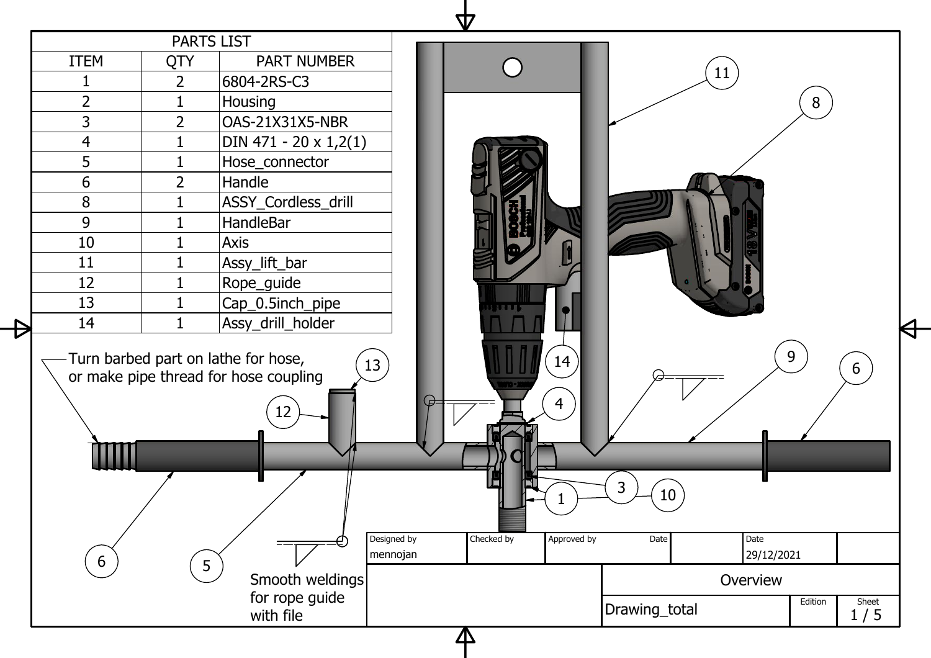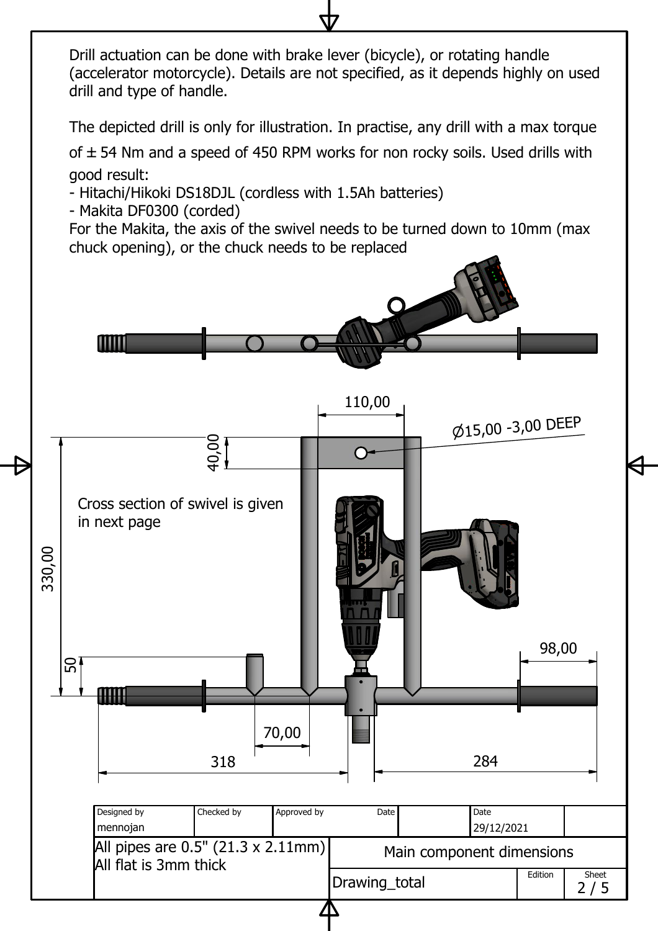Drill actuation can be done with brake lever (bicycle), or rotating handle (accelerator motorcycle). Details are not specified, as it depends highly on used drill and type of handle.

The depicted drill is only for illustration. In practise, any drill with <sup>a</sup> max torque

of  $\pm$  54 Nm and a speed of 450 RPM works for non rocky soils. Used drills with good result:

- Hitachi/Hikoki DS18DJL (cordless with 1.5Ah batteries)

- Makita DF0300 (corded)

For the Makita, the axis of the swivel needs to be turned down to 10mm (max chuck opening), or the chuck needs to be replaced

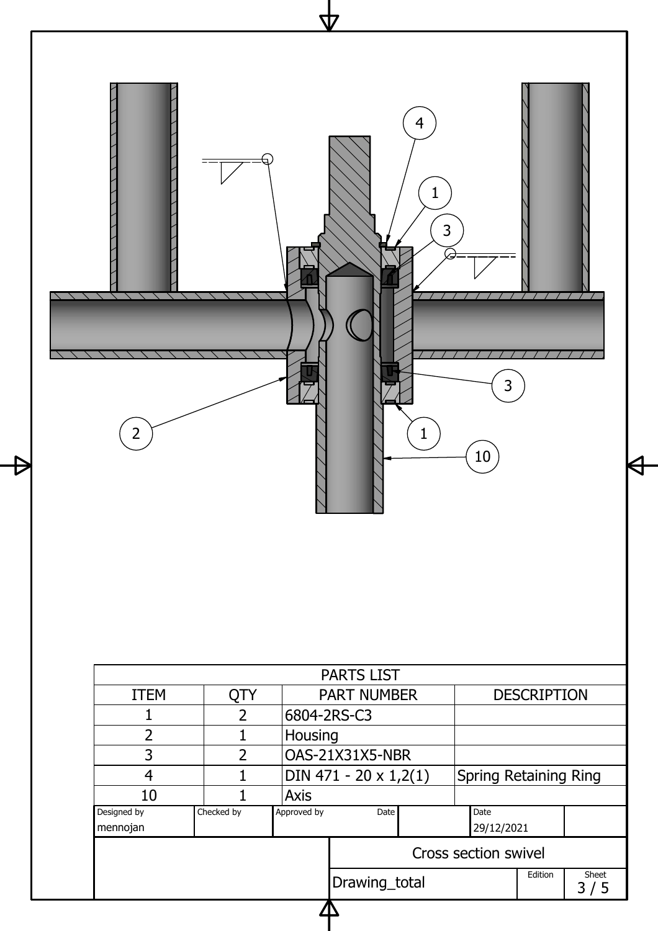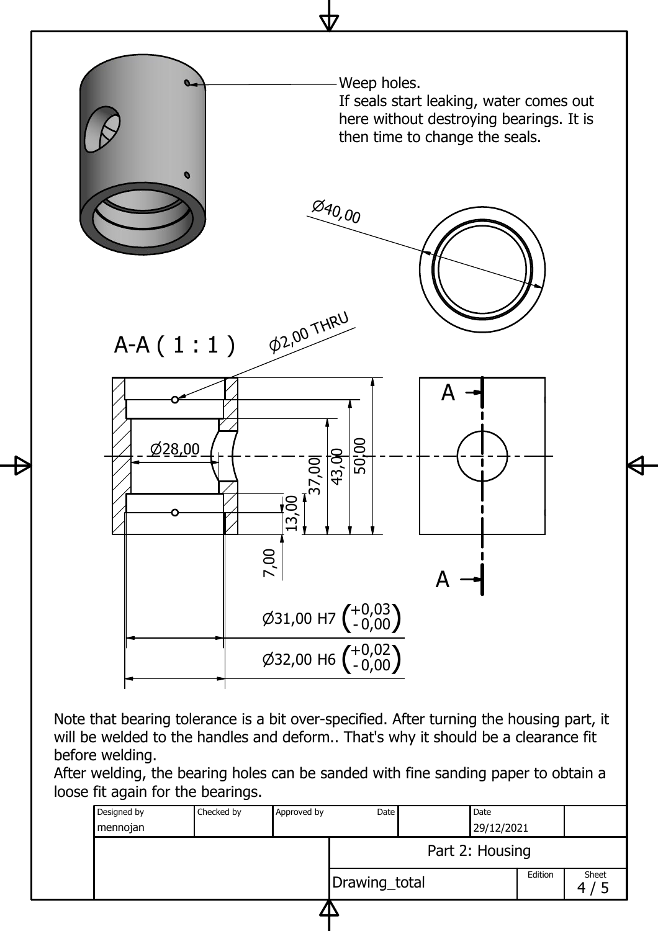

will be welded to the handles and deform.. That's why it should be <sup>a</sup> clearance fit before welding.

After welding, the bearing holes can be sanded with fine sanding paper to obtain <sup>a</sup> loose fit again for the bearings.

| 29/12/2021<br>mennojan<br>Part 2: Housing<br>Edition<br>Sheet<br>Drawing_total | Designed by | Checked by | Approved by | Date |  | Date |  |  |
|--------------------------------------------------------------------------------|-------------|------------|-------------|------|--|------|--|--|
|                                                                                |             |            |             |      |  |      |  |  |
|                                                                                |             |            |             |      |  |      |  |  |
|                                                                                |             |            |             |      |  |      |  |  |